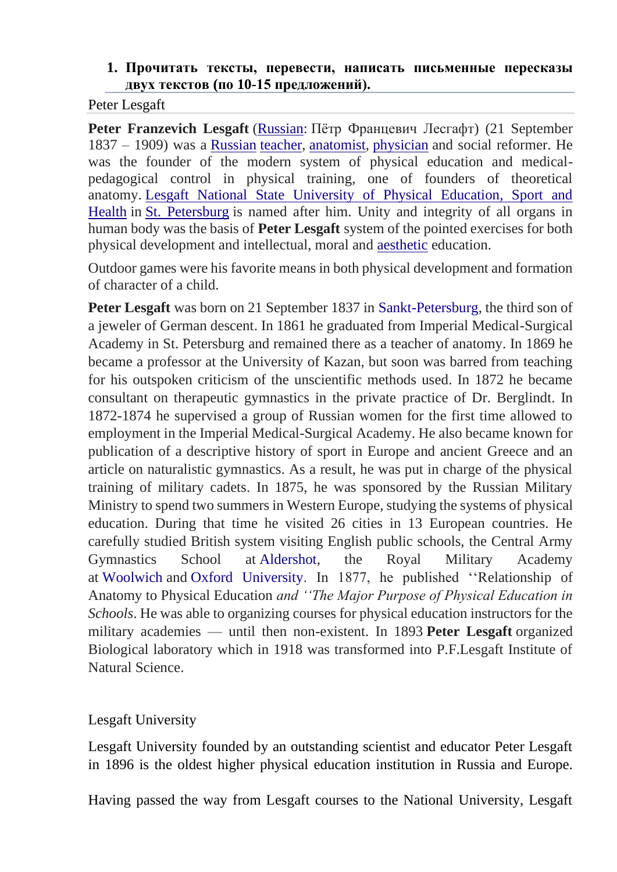### **1. Прочитать тексты, перевести, написать письменные пересказы двух текстов (по 10-15 предложений).**

Peter Lesgaft

**Peter Franzevich Lesgaft** [\(Russian:](https://en.wikipedia.org/wiki/Russian_language) Пётр Францевич Лесгафт) (21 September 1837 – 1909) was a [Russian](https://en.wikipedia.org/wiki/Russia) [teacher,](https://en.wikipedia.org/wiki/Teacher) [anatomist,](https://en.wikipedia.org/wiki/Anatomist) [physician](https://en.wikipedia.org/wiki/Physician) and social reformer. He was the founder of the modern system of physical education and medicalpedagogical control in physical training, one of founders of theoretical anatomy. [Lesgaft National State University of Physical Education, Sport and](https://en.wikipedia.org/wiki/Lesgaft_National_State_University_of_Physical_Education,_Sport_and_Health)  [Health](https://en.wikipedia.org/wiki/Lesgaft_National_State_University_of_Physical_Education,_Sport_and_Health) in [St. Petersburg](https://en.wikipedia.org/wiki/St._Petersburg) is named after him. Unity and integrity of all organs in human body was the basis of **Peter Lesgaft** system of the pointed exercises for both physical development and intellectual, moral and [aesthetic](https://en.wikipedia.org/wiki/Aesthetic) education.

Outdoor games were his favorite means in both physical development and formation of character of a child.

**Peter Lesgaft** was born on 21 September 1837 in [Sankt-Petersburg,](https://en.wikipedia.org/wiki/Sankt-Petersburg) the third son of a jeweler of German descent. In 1861 he graduated from Imperial Medical-Surgical Academy in St. Petersburg and remained there as a teacher of anatomy. In 1869 he became a professor at the University of Kazan, but soon was barred from teaching for his outspoken criticism of the unscientific methods used. In 1872 he became consultant on therapeutic gymnastics in the private practice of Dr. Berglindt. In 1872-1874 he supervised a group of Russian women for the first time allowed to employment in the Imperial Medical-Surgical Academy. He also became known for publication of a descriptive history of sport in Europe and ancient Greece and an article on naturalistic gymnastics. As a result, he was put in charge of the physical training of military cadets. In 1875, he was sponsored by the Russian Military Ministry to spend two summers in Western Europe, studying the systems of physical education. During that time he visited 26 cities in 13 European countries. He carefully studied British system visiting English public schools, the Central Army Gymnastics School at [Aldershot,](https://en.wikipedia.org/wiki/Aldershot) the Royal Military Academy at [Woolwich](https://en.wikipedia.org/wiki/Woolwich) and [Oxford University.](https://en.wikipedia.org/wiki/Oxford_University) In 1877, he published ''Relationship of Anatomy to Physical Education *and ''The Major Purpose of Physical Education in Schools*. He was able to organizing courses for physical education instructors for the military academies — until then non-existent. In 1893 **Peter Lesgaft** organized Biological laboratory which in 1918 was transformed into P.F.Lesgaft Institute of Natural Science.

# Lesgaft University

Lesgaft University founded by an outstanding scientist and educator Peter Lesgaft in 1896 is the oldest higher physical education institution in Russia and Europe.

Having passed the way from Lesgaft courses to the National University, Lesgaft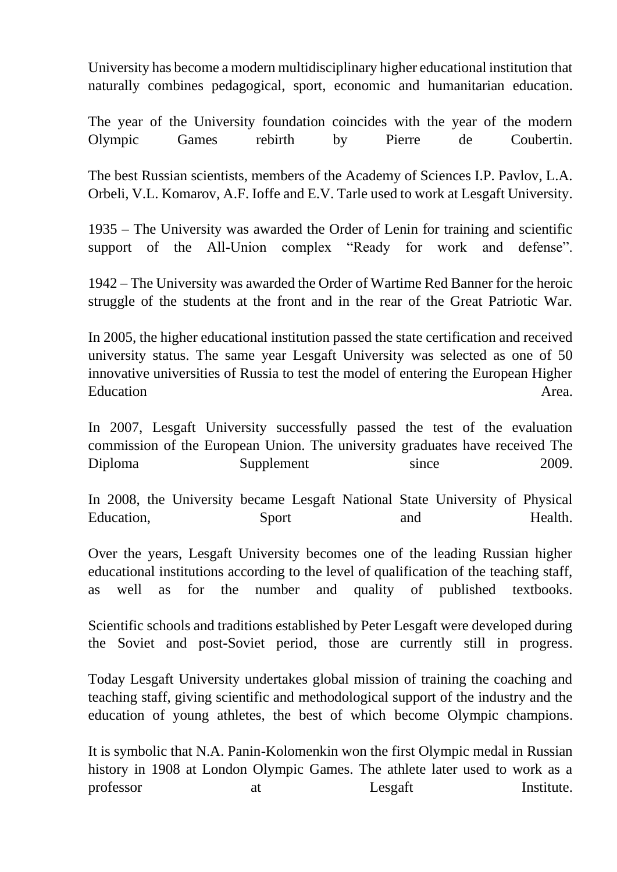University has become a modern multidisciplinary higher educational institution that naturally combines pedagogical, sport, economic and humanitarian education.

The year of the University foundation coincides with the year of the modern Olympic Games rebirth by Pierre de Coubertin.

The best Russian scientists, members of the Academy of Sciences I.P. Pavlov, L.A. Orbeli, V.L. Komarov, A.F. Ioffe and E.V. Tarle used to work at Lesgaft University.

1935 – The University was awarded the Order of Lenin for training and scientific support of the All-Union complex "Ready for work and defense".

1942 – The University was awarded the Order of Wartime Red Banner for the heroic struggle of the students at the front and in the rear of the Great Patriotic War.

In 2005, the higher educational institution passed the state certification and received university status. The same year Lesgaft University was selected as one of 50 innovative universities of Russia to test the model of entering the European Higher Education Area.

In 2007, Lesgaft University successfully passed the test of the evaluation commission of the European Union. The university graduates have received The Diploma Supplement since 2009.

In 2008, the University became Lesgaft National State University of Physical Education, Sport and Health.

Over the years, Lesgaft University becomes one of the leading Russian higher educational institutions according to the level of qualification of the teaching staff, as well as for the number and quality of published textbooks.

Scientific schools and traditions established by Peter Lesgaft were developed during the Soviet and post-Soviet period, those are currently still in progress.

Today Lesgaft University undertakes global mission of training the coaching and teaching staff, giving scientific and methodological support of the industry and the education of young athletes, the best of which become Olympic champions.

It is symbolic that N.A. Panin-Kolomenkin won the first Olympic medal in Russian history in 1908 at London Olympic Games. The athlete later used to work as a professor at Lesgaft Institute.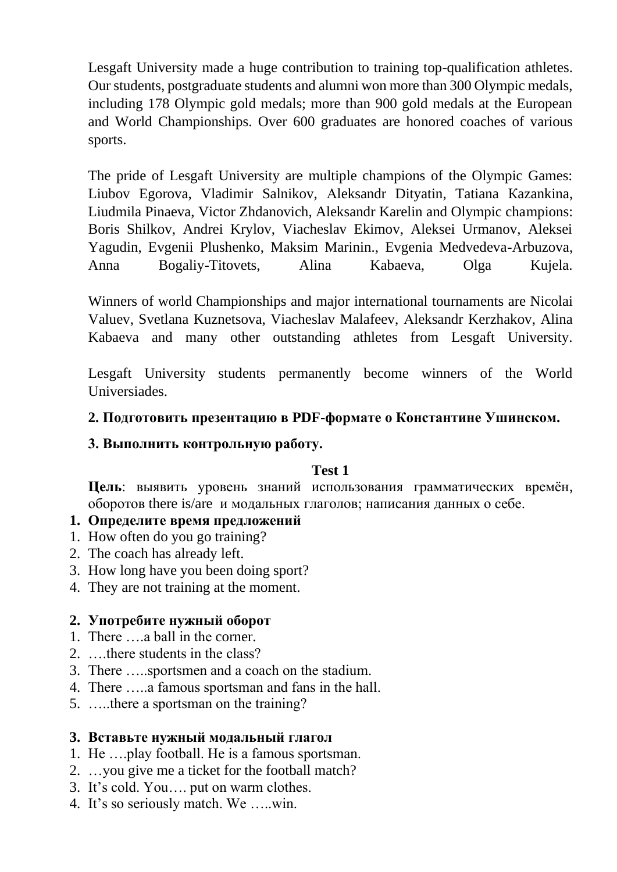Lesgaft University made a huge contribution to training top-qualification athletes. Our students, postgraduate students and alumni won more than 300 Olympic medals, including 178 Olympic gold medals; more than 900 gold medals at the European and World Championships. Over 600 graduates are honored coaches of various sports.

The pride of Lesgaft University are multiple champions of the Olympic Games: Liubov Egorova, Vladimir Salnikov, Аleksandr Dityatin, Tatiana Кazankina, Liudmila Pinaeva, Victor Zhdanovich, Aleksandr Karelin and Olympic champions: Boris Shilkov, Andrei Krylov, Viacheslav Ekimov, Aleksei Urmanov, Aleksei Yagudin, Evgenii Plushenko, Maksim Marinin., Evgenia Medvedeva-Arbuzova, Anna Bogaliy-Titovets, Alina Kabaeva, Olga Kujela.

Winners of world Championships and major international tournaments are Nicolai Valuev, Svetlana Kuznetsova, Viacheslav Malafeev, Аleksandr Kerzhakov, Alina Kabaeva and many other outstanding athletes from Lesgaft University.

Lesgaft University students permanently become winners of the World Universiades.

# **2. Подготовить презентацию в PDF-формате о Константине Ушинском.**

## **3. Выполнить контрольную работу.**

## **Test 1**

**Цель**: выявить уровень знаний использования грамматических времён, оборотов there is/are и модальных глаголов; написания данных о себе.

#### **1. Определите время предложений**

- 1. How often do you go training?
- 2. The coach has already left.
- 3. How long have you been doing sport?
- 4. They are not training at the moment.

## **2. Употребите нужный оборот**

- 1. There ….a ball in the corner.
- 2. ….there students in the class?
- 3. There …..sportsmen and a coach on the stadium.
- 4. There …..a famous sportsman and fans in the hall.
- 5. …..there a sportsman on the training?

#### **3. Вставьте нужный модальный глагол**

- 1. He ….play football. He is a famous sportsman.
- 2. …you give me a ticket for the football match?
- 3. It's cold. You…. put on warm clothes.
- 4. It's so seriously match. We …..win.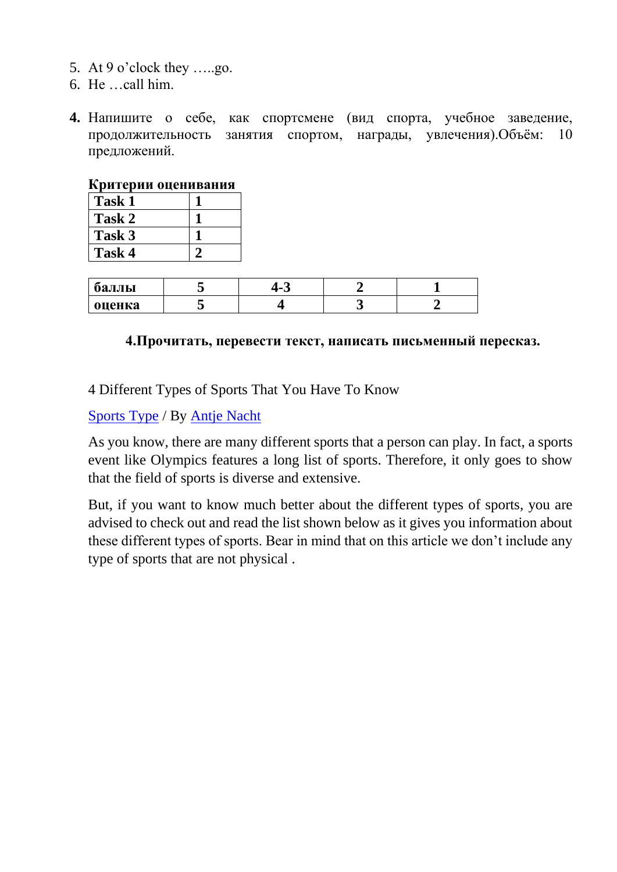- 5. At 9 o'clock they …..go.
- 6. He …call him.
- **4.** Напишите о себе, как спортсмене (вид спорта, учебное заведение, продолжительность занятия спортом, награды, увлечения).Объём: 10 предложений.

#### **Критерии оценивания**

| Task 1 |  |
|--------|--|
| Task 2 |  |
| Task 3 |  |
| Task 4 |  |

| оаллы  |  |  |
|--------|--|--|
| оценка |  |  |

### **4.Прочитать, перевести текст, написать письменный пересказ.**

4 Different Types of Sports That You Have To Know

[Sports Type](http://www.savecivicstadium.org/category/sports-type/) / By [Antje Nacht](http://www.savecivicstadium.org/author/serpchamp/)

As you know, there are many different sports that a person can play. In fact, a sports event like Olympics features a long list of sports. Therefore, it only goes to show that the field of sports is diverse and extensive.

But, if you want to know much better about the different types of sports, you are advised to check out and read the list shown below as it gives you information about these different types of sports. Bear in mind that on this article we don't include any type of sports that are not physical .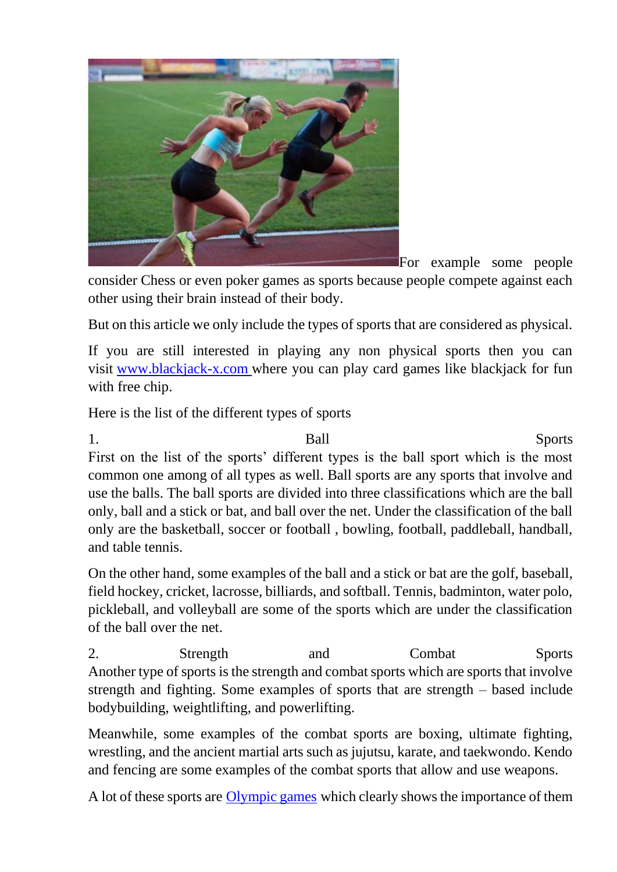

For example some people

consider Chess or even poker games as sports because people compete against each other using their brain instead of their body.

But on this article we only include the types of sports that are considered as physical.

If you are still interested in playing any non physical sports then you can visit [www.blackjack-x.com](http://www.blackjack-x.com/) where you can play card games like blackjack for fun with free chip.

Here is the list of the different types of sports

1. Ball Sports First on the list of the sports' different types is the ball sport which is the most common one among of all types as well. Ball sports are any sports that involve and use the balls. The ball sports are divided into three classifications which are the ball only, ball and a stick or bat, and ball over the net. Under the classification of the ball only are the basketball, soccer or football , bowling, football, paddleball, handball, and table tennis.

On the other hand, some examples of the ball and a stick or bat are the golf, baseball, field hockey, cricket, lacrosse, billiards, and softball. Tennis, badminton, water polo, pickleball, and volleyball are some of the sports which are under the classification of the ball over the net.

2. Strength and Combat Sports Another type of sports is the strength and combat sports which are sports that involve strength and fighting. Some examples of sports that are strength – based include bodybuilding, weightlifting, and powerlifting.

Meanwhile, some examples of the combat sports are boxing, ultimate fighting, wrestling, and the ancient martial arts such as jujutsu, karate, and taekwondo. Kendo and fencing are some examples of the combat sports that allow and use weapons.

A lot of these sports are *[Olympic games](https://www.olympic.org/)* which clearly shows the importance of them